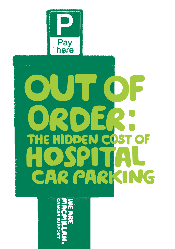

# D THE HIDDEN COST OF SP CAR PARKING

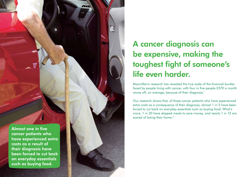Almost one in five cancer patients who have experienced extra costs as a result of their diagnosis have been forced to cut back on everyday essentials such as buying food.

# A cancer diagnosis can be expensive, making the toughest fight of someone's life even harder.

Macmillan's research has revealed the true scale of the financial burden faced by people living with cancer, with four in five people £570 a month worse off, on average, because of their diagnosis. 1

Our research shows that, of those cancer patients who have experienced extra costs as a consequence of their diagnosis, almost 1 in 5 have been forced to cut back on everyday essentials such as buying food. What's more, 1 in 20 have skipped meals to save money, and nearly 1 in 12 are scared of losing their home. 2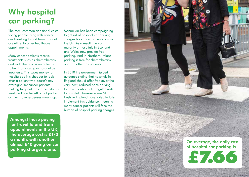# Why hospital car parking?

The most common additional costs facing people living with cancer are travelling to and from hospital, or getting to other healthcare appointments.

Many cancer patients receive treatments such as chemotherapy and radiotherapy as outpatients, rather than staying in hospital as inpatients. This saves money for hospitals as it is cheaper to look after a patient who doesn't stay overnight. Yet cancer patients making frequent trips to hospital for treatment can be left out of pocket as their travel expenses mount up.

Amongst those paying for travel to and from appointments in the UK, the average cost is £170 a month, with another almost £40 going on car parking charges alone.

Macmillan has been campaigning to get rid of hospital car parking charges for cancer patients across the UK. As a result, the vast majority of hospitals in Scotland and Wales now provide free parking. And in Northern Ireland, parking is free for chemotherapy and radiotherapy patients.

In 2010 the government issued guidance stating that hospitals in England should offer free or, at the very least, reduced price parking to patients who make regular visits to hospital. However some NHS trusts in England have failed to fully implement this guidance, meaning many cancer patients still face the burden of hospital parking charges.

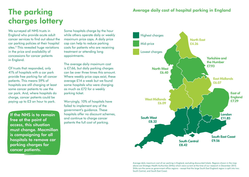# The parking charges lottery

We surveyed all NHS trusts in England who provide acute adult cancer services to find out about the car parking policies at their hospital sites.<sup>3</sup> This revealed huge variations in the price and availability of concessions for cancer patients in England.

Of trusts that responded, only 41% of hospitals with a car park provide free parking for all cancer patients. This means 59% of hospitals are still charging at least some cancer patients to use the car park. And, where hospitals do charge, cancer patients could be paying up to £3 an hour to park.

If the NHS is to remain free at the point of access, this situation must change. Macmillan is campaigning for all hospitals to remove car parking charges for cancer patients.

Some hospitals charge by the hour while others operate daily or weekly maximum price caps. A daily price cap can help to reduce parking costs for patients who are receiving treatment or attending long appointments.

The average daily maximum cost is £7.66, but daily parking charges can be over three times this amount. Where weekly price caps exist, these average £14 a week but we found some hospitals who were charging as much as £72 for a weekly parking ticket.

Worryingly, 10% of hospitals have failed to implement any of the government's guidance. These hospitals offer no discount schemes, and continue to charge cancer patients the full cost of parking.



Average daily maximum cost of car parking in England, excluding discounted tickets. Regions shown in the map above are Strategic Health Authorities (SHAs) which were current at the time of our research in December 2012. SHAs are the same as government office regions – except that the large South East England region is split into two: South Central, and South East Coast.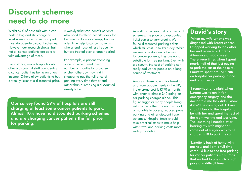# Discount schemes need to do more

Whilst 59% of hospitals with a car park in England still charge at least some cancer patients to park, most do operate discount schemes. However, our research shows that not all cancer patients are able to take advantage of these.

For instance, many hospitals only offer a discount if staff can identify a cancer patient as being on a low income. Others allow patients to buy a weekly ticket at a discounted price.

A weekly ticket can benefit patients who need to attend hospital daily for treatments like radiotherapy but are often little help to cancer patients who attend hospital less frequently but are treated over a longer period.

For example, a patient attending once or twice a week over a number of months for a course of chemotherapy may find it cheaper to pay the full price of parking every time they attend rather than purchasing a discounted weekly ticket.

Our survey found 59% of hospitals are still charging at least some cancer patients to park. Almost 10% have no discounted parking schemes and are charging cancer patients the full price for parking.

As well as the availability of discount schemes, the price of a discounted ticket can also vary greatly. We found discounted parking tickets which still cost up to £8 a day. While we welcome discount schemes for cancer patients, they are not a substitute for free parking. Even with a discount, the cost of parking can really add up for people on a long course of treatment.

Amongst those paying for travel to and from appointments in the UK, the average cost is £170 a month, with another almost £40 going on car parking charges alone.<sup>1</sup> This figure suggests many people living with cancer either are not aware of, or not able to access, reduced price parking and other discount travel schemes.<sup>4</sup> Hospital trusts should take practical steps to make help with travel and parking costs more widely available.

#### David's story

'When my wife Lynette was diagnosed with breast cancer, I stopped working to look after her and received a Carer's Allowance of £80 a week. There were times when I spent nearly half of that just paying to park the car at the hospital. I must've spent around £700 on hospital car parking in one and a half years.

'I remember one night when Lynette was taken in for emergency surgery, and the doctor told me they didn't know if she'd be coming out. I drove straight back to the hospital to be with her and spent the rest of the night waiting and worrying. The last thing I needed after hearing my wife might not come out of surgery was to be charged £10 to park the car.

'Lynette is back at home with me now and I am a full time carer. I'd like to see free parking for cancer patients – it's unfair that we had to pay such a high price at a difficult time.'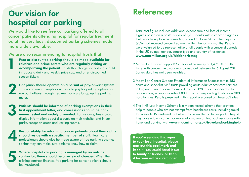# Our vision for hospital car parking

We would like to see free car parking offered to all cancer patients attending hospital for regular treatment or, at the very least, discounted parking schemes made more widely available.

We are also recommending to hospital trusts that:

Free or discounted parking should be made available for<br>
relatives and prime carers who are regularly visiting or<br>
accompanying the patient. Trusts that charge for parking should<br>
introduce a daily and weekly price can and relatives and prime carers who are regularly visiting or introduce a daily and weekly price cap, and offer discounted season tickets.

Car parks should operate on a permit or pay-on-exit system. This would mean people don't have to pay for parking upfront, or run out halfway through treatment or visits to top up the parking meter.

Patients should be informed of parking exemptions in their<br>first appointment letter, and concessions should be non-<br>means tested and widely promoted. For instance, trusts could<br>discuss information about discussion on their first appointment letter, and concessions should be nonmeans tested and widely promoted. For instance, trusts could display information about discounts on their website, and in car parks, reception areas and waiting rooms.

Responsibility for informing cancer patients about their rights<br>
should reside with a specific member of staff. Healthcare<br>
professionals should also be made aware of free parking schemes<br>
as that they can make away patien should reside with a specific member of staff. Healthcare so that they can make sure patients know how to claim.

Where hospital car parking is managed by an outside<br>contractor, there should be a review of charges. When<br>existing contract finishes, free parking for cancer patients should contractor, there should be a review of charges. When the existing contract finishes, free parking for cancer patients should be introduced.

### References

- 1 Total cost figure includes additional expenditure and loss of income. Figures based on a postal survey of 1,610 adults with a cancer diagnosis. Fieldwork took place between August and October 2012. The majority (95%) had received cancer treatment within the last six months. Results were weighted to be representative of all people with a cancer diagnosis in the UK by age, gender, cancer type and country of residence. www.macmillan.org.uk/hiddenpricetag
- 2 Macmillan Cancer Support/YouGov online survey of 1,495 UK adults living with cancer. Fieldwork was carried out between 1–16 August 2011. Survey data has not been weighted.
- 3 Macmillan Cancer Support Freedom of Information Request sent to 153 acute and specialist NHS trusts providing acute adult cancer care services in England. Two trusts were omitted in error. 128 trusts responded within our deadline, a response rate of 83%. The 128 responding trusts cover 303 hospital sites. Results presented in this report are based on these 303 sites.
- 4 The NHS Low Income Scheme is a means-tested scheme that provides help to people who are not exempt from healthcare costs, including travel to receive NHS treatment, but who may be entitled to full or partial help if they have a low income. For more information on financial assistance with travel and parking, visit www.macmillan.org.uk/travelandparkinghelp

If you're sending this report to your local hospital, please tear out this bookmark and keep it. You could hand it out to family or friends, or keep it for yourself as a reminder.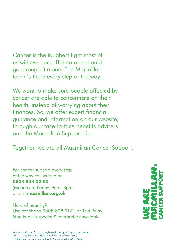Cancer is the toughest fight most of us will ever face. But no one should go through it alone. The Macmillan team is there every step of the way.

We want to make sure people affected by cancer are able to concentrate on their health, instead of worrying about their finances. So, we offer expert financial guidance and information on our website, through our face-to-face benefits advisers and the Macmillan Support Line.

Together, we are all Macmillan Cancer Support.

For cancer support every step of the way call us free on 0808 808 00 00 (Monday to Friday, 9am–8pm) or visit macmillan.org.uk

Hard of hearing? Use textphone 0808 808 0121, or Text Relay. Non English speaker? Interpreters available

Macmillan Cancer Support, registered charity in England and Wales (261017),Scotland (SC039907) and the Isle of Man (604). Printed using sustainable material. Please recycle. MAC14373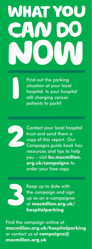# HAT

Find out the parking situation at your local hospital. Is your hospital still charging cancer patients to park?



0

Contact your local hospital trust and send them a copy of this report. Our *Campaigns guide book* has resources and tips to help you – visit **be.macmillan. org.uk/campaigns** to order your free copy.



Keep up to date with the campaign and sign up as an e-campaigner at **macmillan.org.uk/ hospitalparking**

Find the campaign online at **macmillan.org.uk/hospitalparking** or contact us at **campaigns@ macmillan.org.uk**